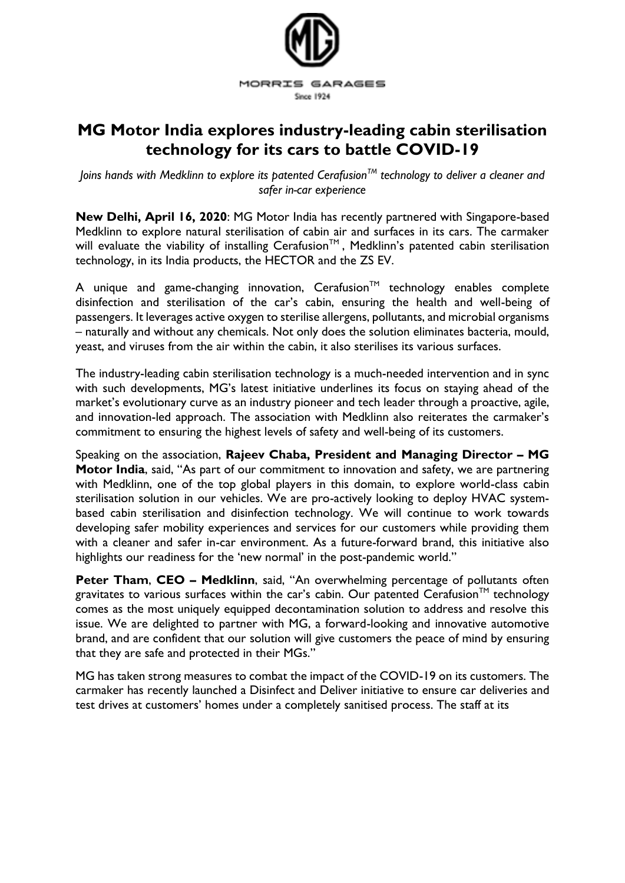

## **MG Motor India explores industry-leading cabin sterilisation technology for its cars to battle COVID-19**

*Joins hands with Medklinn to explore its patented CerafusionTM technology to deliver a cleaner and safer in-car experience*

**New Delhi, April 16, 2020**: MG Motor India has recently partnered with Singapore-based Medklinn to explore natural sterilisation of cabin air and surfaces in its cars. The carmaker will evaluate the viability of installing Cerafusion™, Medklinn's patented cabin sterilisation technology, in its India products, the HECTOR and the ZS EV.

A unique and game-changing innovation, Cerafusion<sup>TM</sup> technology enables complete disinfection and sterilisation of the car's cabin, ensuring the health and well-being of passengers. It leverages active oxygen to sterilise allergens, pollutants, and microbial organisms – naturally and without any chemicals. Not only does the solution eliminates bacteria, mould, yeast, and viruses from the air within the cabin, it also sterilises its various surfaces.

The industry-leading cabin sterilisation technology is a much-needed intervention and in sync with such developments, MG's latest initiative underlines its focus on staying ahead of the market's evolutionary curve as an industry pioneer and tech leader through a proactive, agile, and innovation-led approach. The association with Medklinn also reiterates the carmaker's commitment to ensuring the highest levels of safety and well-being of its customers.

Speaking on the association, **Rajeev Chaba, President and Managing Director – MG Motor India**, said, "As part of our commitment to innovation and safety, we are partnering with Medklinn, one of the top global players in this domain, to explore world-class cabin sterilisation solution in our vehicles. We are pro-actively looking to deploy HVAC systembased cabin sterilisation and disinfection technology. We will continue to work towards developing safer mobility experiences and services for our customers while providing them with a cleaner and safer in-car environment. As a future-forward brand, this initiative also highlights our readiness for the 'new normal' in the post-pandemic world."

**Peter Tham**, **CEO – Medklinn**, said, "An overwhelming percentage of pollutants often gravitates to various surfaces within the car's cabin. Our patented Cerafusion<sup>TM</sup> technology comes as the most uniquely equipped decontamination solution to address and resolve this issue. We are delighted to partner with MG, a forward-looking and innovative automotive brand, and are confident that our solution will give customers the peace of mind by ensuring that they are safe and protected in their MGs."

MG has taken strong measures to combat the impact of the COVID-19 on its customers. The carmaker has recently launched a Disinfect and Deliver initiative to ensure car deliveries and test drives at customers' homes under a completely sanitised process. The staff at its